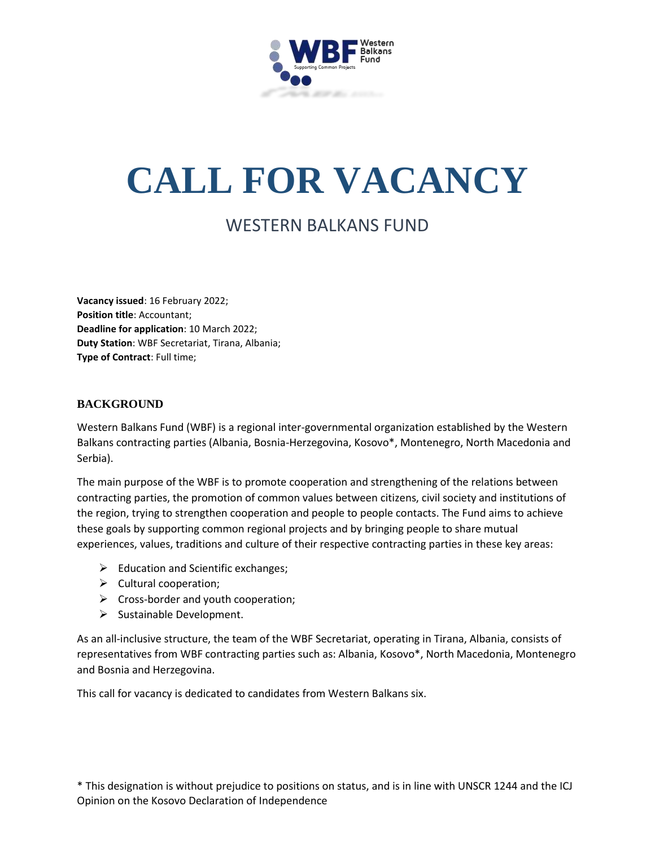

# **CALL FOR VACANCY**

# WESTERN BALKANS FUND

**Vacancy issued**: 16 February 2022; **Position title**: Accountant; **Deadline for application**: 10 March 2022; **Duty Station**: WBF Secretariat, Tirana, Albania; **Type of Contract**: Full time;

#### **BACKGROUND**

Western Balkans Fund (WBF) is a regional inter-governmental organization established by the Western Balkans contracting parties (Albania, Bosnia-Herzegovina, Kosovo\*, Montenegro, North Macedonia and Serbia).

The main purpose of the WBF is to promote cooperation and strengthening of the relations between contracting parties, the promotion of common values between citizens, civil society and institutions of the region, trying to strengthen cooperation and people to people contacts. The Fund aims to achieve these goals by supporting common regional projects and by bringing people to share mutual experiences, values, traditions and culture of their respective contracting parties in these key areas:

- $\triangleright$  Education and Scientific exchanges;
- $\triangleright$  Cultural cooperation;
- $\triangleright$  Cross-border and youth cooperation;
- $\triangleright$  Sustainable Development.

As an all-inclusive structure, the team of the WBF Secretariat, operating in Tirana, Albania, consists of representatives from WBF contracting parties such as: Albania, Kosovo\*, North Macedonia, Montenegro and Bosnia and Herzegovina.

This call for vacancy is dedicated to candidates from Western Balkans six.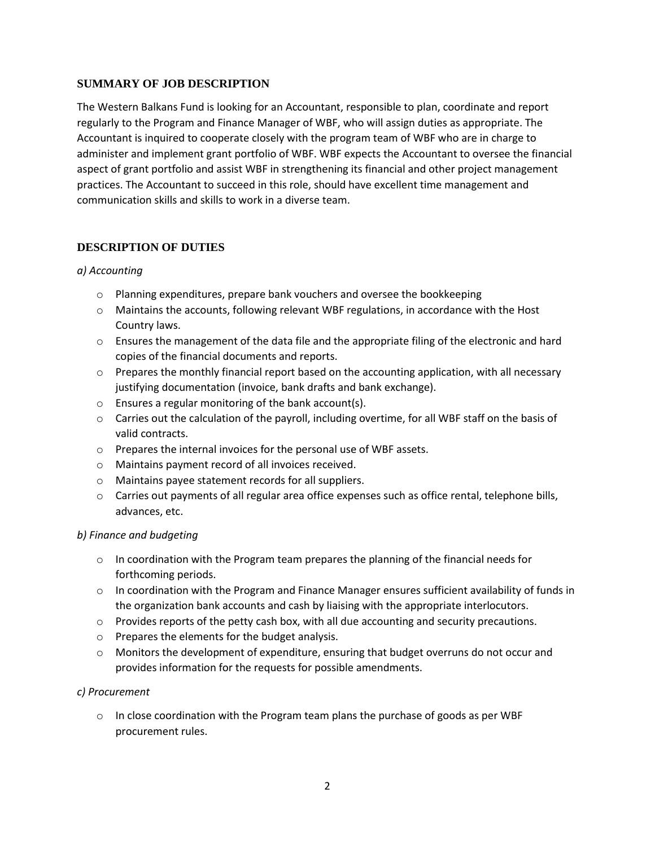#### **SUMMARY OF JOB DESCRIPTION**

The Western Balkans Fund is looking for an Accountant, responsible to plan, coordinate and report regularly to the Program and Finance Manager of WBF, who will assign duties as appropriate. The Accountant is inquired to cooperate closely with the program team of WBF who are in charge to administer and implement grant portfolio of WBF. WBF expects the Accountant to oversee the financial aspect of grant portfolio and assist WBF in strengthening its financial and other project management practices. The Accountant to succeed in this role, should have excellent time management and communication skills and skills to work in a diverse team.

# **DESCRIPTION OF DUTIES**

#### *a) Accounting*

- o Planning expenditures, prepare bank vouchers and oversee the bookkeeping
- o Maintains the accounts, following relevant WBF regulations, in accordance with the Host Country laws.
- $\circ$  Ensures the management of the data file and the appropriate filing of the electronic and hard copies of the financial documents and reports.
- $\circ$  Prepares the monthly financial report based on the accounting application, with all necessary justifying documentation (invoice, bank drafts and bank exchange).
- o Ensures a regular monitoring of the bank account(s).
- $\circ$  Carries out the calculation of the payroll, including overtime, for all WBF staff on the basis of valid contracts.
- o Prepares the internal invoices for the personal use of WBF assets.
- o Maintains payment record of all invoices received.
- o Maintains payee statement records for all suppliers.
- $\circ$  Carries out payments of all regular area office expenses such as office rental, telephone bills, advances, etc.

#### *b) Finance and budgeting*

- $\circ$  In coordination with the Program team prepares the planning of the financial needs for forthcoming periods.
- $\circ$  In coordination with the Program and Finance Manager ensures sufficient availability of funds in the organization bank accounts and cash by liaising with the appropriate interlocutors.
- $\circ$  Provides reports of the petty cash box, with all due accounting and security precautions.
- o Prepares the elements for the budget analysis.
- o Monitors the development of expenditure, ensuring that budget overruns do not occur and provides information for the requests for possible amendments.

#### *c) Procurement*

 $\circ$  In close coordination with the Program team plans the purchase of goods as per WBF procurement rules.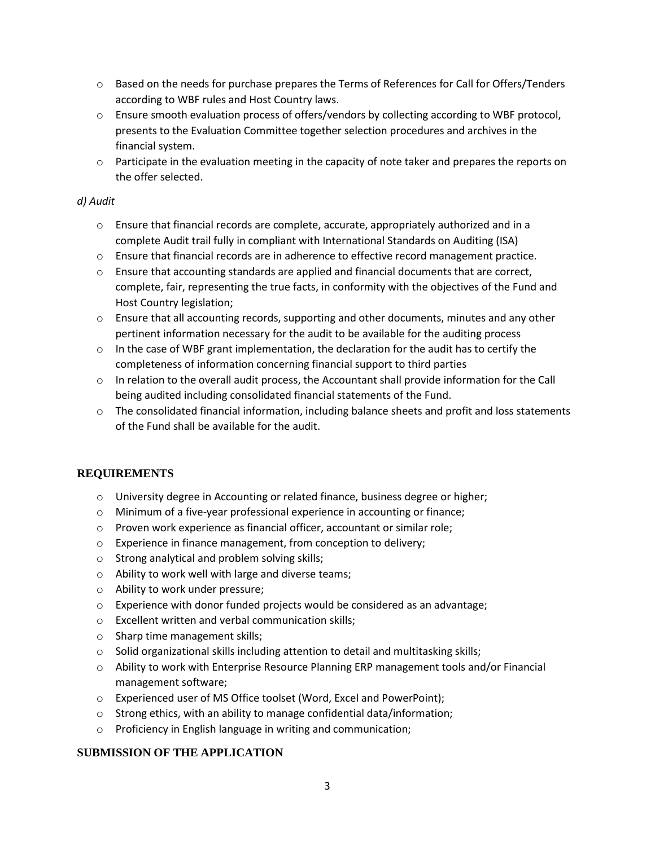- $\circ$  Based on the needs for purchase prepares the Terms of References for Call for Offers/Tenders according to WBF rules and Host Country laws.
- o Ensure smooth evaluation process of offers/vendors by collecting according to WBF protocol, presents to the Evaluation Committee together selection procedures and archives in the financial system.
- $\circ$  Participate in the evaluation meeting in the capacity of note taker and prepares the reports on the offer selected.

#### *d) Audit*

- $\circ$  Ensure that financial records are complete, accurate, appropriately authorized and in a complete Audit trail fully in compliant with International Standards on Auditing (ISA)
- $\circ$  Ensure that financial records are in adherence to effective record management practice.
- $\circ$  Ensure that accounting standards are applied and financial documents that are correct, complete, fair, representing the true facts, in conformity with the objectives of the Fund and Host Country legislation;
- $\circ$  Ensure that all accounting records, supporting and other documents, minutes and any other pertinent information necessary for the audit to be available for the auditing process
- $\circ$  In the case of WBF grant implementation, the declaration for the audit has to certify the completeness of information concerning financial support to third parties
- $\circ$  In relation to the overall audit process, the Accountant shall provide information for the Call being audited including consolidated financial statements of the Fund.
- $\circ$  The consolidated financial information, including balance sheets and profit and loss statements of the Fund shall be available for the audit.

# **REQUIREMENTS**

- o University degree in Accounting or related finance, business degree or higher;
- o Minimum of a five-year professional experience in accounting or finance;
- o Proven work experience as financial officer, accountant or similar role;
- o Experience in finance management, from conception to delivery;
- o Strong analytical and problem solving skills;
- o Ability to work well with large and diverse teams;
- o Ability to work under pressure;
- o Experience with donor funded projects would be considered as an advantage;
- o Excellent written and verbal communication skills;
- o Sharp time management skills;
- o Solid organizational skills including attention to detail and multitasking skills;
- o Ability to work with Enterprise Resource Planning ERP management tools and/or Financial management software;
- o Experienced user of MS Office toolset (Word, Excel and PowerPoint);
- o Strong ethics, with an ability to manage confidential data/information;
- o Proficiency in English language in writing and communication;

# **SUBMISSION OF THE APPLICATION**